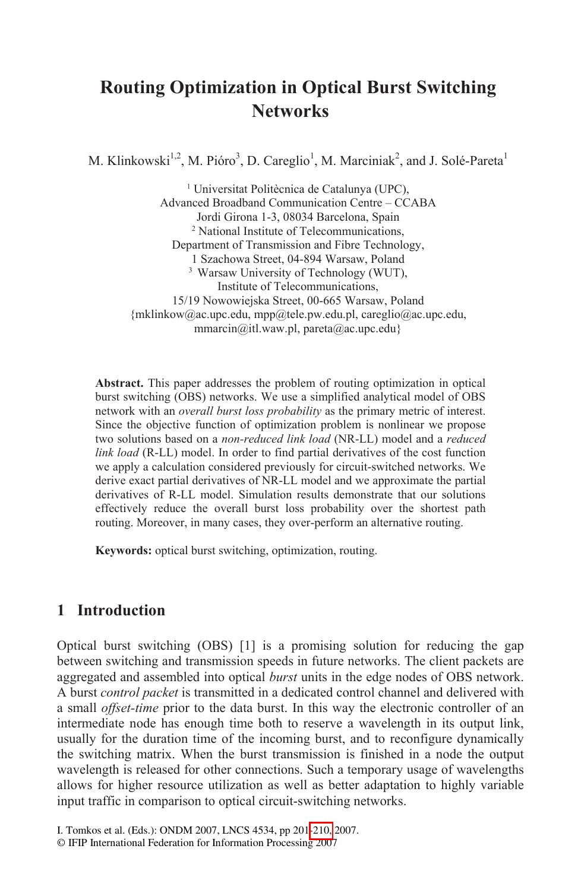# **Routing Optimization in Optical Burst Switching Networks**

M. Klinkowski<sup>1,2</sup>, M. Pióro<sup>3</sup>, D. Careglio<sup>1</sup>, M. Marciniak<sup>2</sup>, and J. Solé-Pareta<sup>1</sup>

<sup>1</sup> Universitat Politècnica de Catalunya (UPC), Advanced Broadband Communication Centre - CCABA Jordi Girona 1-3, 08034 Barcelona, Spain <sup>2</sup> National Institute of Telecommunications, Department of Transmission and Fibre Technology, 1 Szachowa Street, 04-894 Warsaw, Poland <sup>3</sup> Warsaw University of Technology (WUT), Institute of Telecommunications, 15/19 Nowowiejska Street, 00-665 Warsaw, Poland {mklinkow@ac.upc.edu, mpp@tele.pw.edu.pl, careglio@ac.upc.edu, mmarcin@itl.waw.pl, pareta@ac.upc.edu}

Abstract. This paper addresses the problem of routing optimization in optical burst switching (OBS) networks. We use a simplified analytical model of OBS network with an *overall burst loss probability* as the primary metric of interest. Since the objective function of optimization problem is nonlinear we propose two solutions based on a non-reduced link load (NR-LL) model and a reduced link load (R-LL) model. In order to find partial derivatives of the cost function we apply a calculation considered previously for circuit-switched networks. We derive exact partial derivatives of NR-LL model and we approximate the partial derivatives of R-LL model. Simulation results demonstrate that our solutions effectively reduce the overall burst loss probability over the shortest path routing. Moreover, in many cases, they over-perform an alternative routing.

Keywords: optical burst switching, optimization, routing.

### 1 Introduction

Optical burst switching  $(OBS)$  [1] is a promising solution for reducing the gap between switching and transmission speeds in future networks. The client packets are aggregated and assembled into optical burst units in the edge nodes of OBS network. A burst control packet is transmitted in a dedicated control channel and delivered with a small *offset-time* prior to the data burst. In this way the electronic controller of an intermediate node has enough time both to reserve a wavelength in its output link, usually for the duration time of the incoming burst, and to reconfigure dynamically the switching matrix. When the burst transmission is finished in a node the output wavelength is released for other connections. Such a temporary usage of wavelengths allows for higher resource utilization as well as better adaptation to highly variable input traffic in comparison to optical circuit-switching networks.

I. Tomkos et al. (Eds.): ONDM 2007, LNCS 4534, pp 201-210, 2007.

<sup>©</sup> IFIP International Federation for Information Processing 2007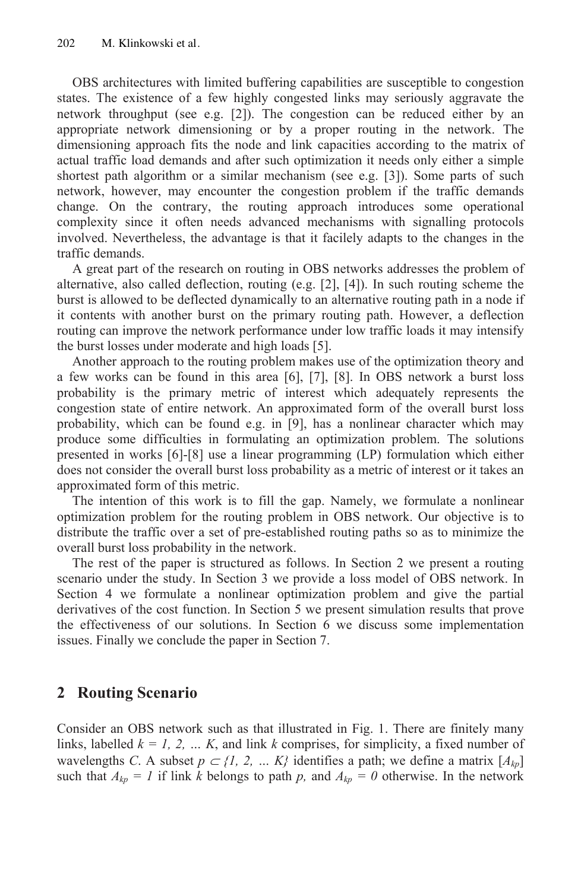OBS architectures with limited buffering capabilities are susceptible to congestion states. The existence of a few highly congested links may seriously aggravate the network throughput (see e.g. [2]). The congestion can be reduced either by an appropriate network dimensioning or by a proper routing in the network. The dimensioning approach fits the node and link capacities according to the matrix of actual traffic load demands and after such optimization it needs only either a simple shortest path algorithm or a similar mechanism (see e.g. [3]). Some parts of such network, however, may encounter the congestion problem if the traffic demands change. On the contrary, the routing approach introduces some operational complexity since it often needs advanced mechanisms with signalling protocols involved. Nevertheless, the advantage is that it facilely adapts to the changes in the traffic demands.

A great part of the research on routing in OBS networks addresses the problem of alternative, also called deflection, routing  $(e.g. [2], [4])$ . In such routing scheme the burst is allowed to be deflected dynamically to an alternative routing path in a node if it contents with another burst on the primary routing path. However, a deflection routing can improve the network performance under low traffic loads it may intensify the burst losses under moderate and high loads [5].

Another approach to the routing problem makes use of the optimization theory and a few works can be found in this area  $[6]$ ,  $[7]$ ,  $[8]$ . In OBS network a burst loss probability is the primary metric of interest which adequately represents the congestion state of entire network. An approximated form of the overall burst loss probability, which can be found e.g. in [9], has a nonlinear character which may produce some difficulties in formulating an optimization problem. The solutions presented in works  $[6]$ - $[8]$  use a linear programming  $(LP)$  formulation which either does not consider the overall burst loss probability as a metric of interest or it takes an approximated form of this metric.

The intention of this work is to fill the gap. Namely, we formulate a nonlinear optimization problem for the routing problem in OBS network. Our objective is to distribute the traffic over a set of pre-established routing paths so as to minimize the overall burst loss probability in the network.

The rest of the paper is structured as follows. In Section 2 we present a routing scenario under the study. In Section 3 we provide a loss model of OBS network. In Section 4 we formulate a nonlinear optimization problem and give the partial derivatives of the cost function. In Section 5 we present simulation results that prove the effectiveness of our solutions. In Section 6 we discuss some implementation issues. Finally we conclude the paper in Section 7.

## 2 Routing Scenario

Consider an OBS network such as that illustrated in Fig. 1. There are finitely many links, labelled  $k = 1, 2, ... K$ , and link k comprises, for simplicity, a fixed number of wavelengths C. A subset  $p \subset \{1, 2, ..., K\}$  identifies a path; we define a matrix  $[A_{kp}]$ such that  $A_{kp} = I$  if link k belongs to path p, and  $A_{kp} = 0$  otherwise. In the network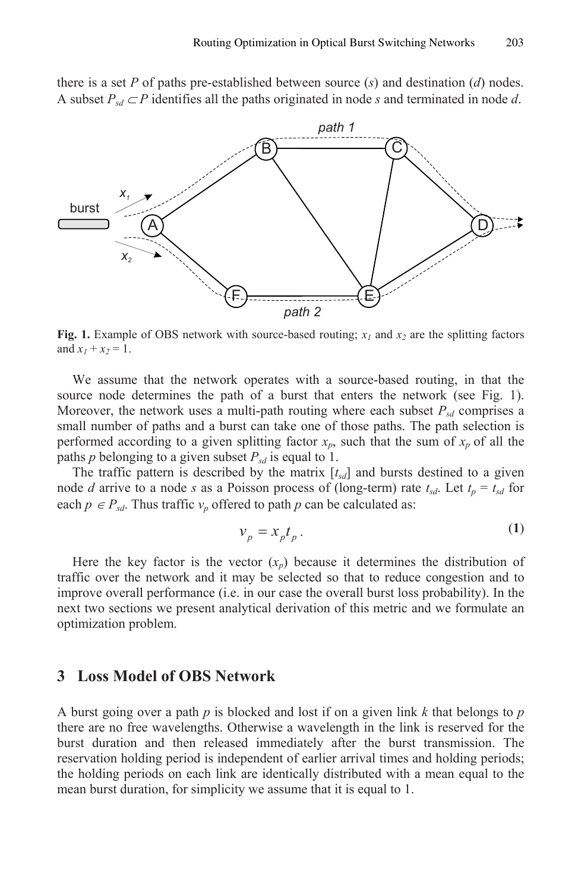there is a set  $P$  of paths pre-established between source  $(s)$  and destination  $(d)$  nodes. A subset  $P_{sd} \subset P$  identifies all the paths originated in node s and terminated in node d.



Fig. 1. Example of OBS network with source-based routing;  $x_1$  and  $x_2$  are the splitting factors and  $x_1 + x_2 = 1$ .

We assume that the network operates with a source-based routing, in that the source node determines the path of a burst that enters the network (see Fig. 1). Moreover, the network uses a multi-path routing where each subset  $P_{sd}$  comprises a small number of paths and a burst can take one of those paths. The path selection is performed according to a given splitting factor  $x_p$ , such that the sum of  $x_p$  of all the paths p belonging to a given subset  $P_{sd}$  is equal to 1.

The traffic pattern is described by the matrix  $[t_{sd}]$  and bursts destined to a given node *d* arrive to a node *s* as a Poisson process of (long-term) rate  $t_{sd}$ . Let  $t_p = t_{sd}$  for each  $p \in P_{sd}$ . Thus traffic  $v_p$  offered to path p can be calculated as:

$$
v_p = x_p t_p. \tag{1}
$$

 $\lambda$ 

Here the key factor is the vector  $(x_n)$  because it determines the distribution of traffic over the network and it may be selected so that to reduce congestion and to improve overall performance (i.e. in our case the overall burst loss probability). In the next two sections we present analytical derivation of this metric and we formulate an optimization problem.

### 3 Loss Model of OBS Network

A burst going over a path p is blocked and lost if on a given link k that belongs to p there are no free wavelengths. Otherwise a wavelength in the link is reserved for the burst duration and then released immediately after the burst transmission. The reservation holding period is independent of earlier arrival times and holding periods; the holding periods on each link are identically distributed with a mean equal to the mean burst duration, for simplicity we assume that it is equal to 1.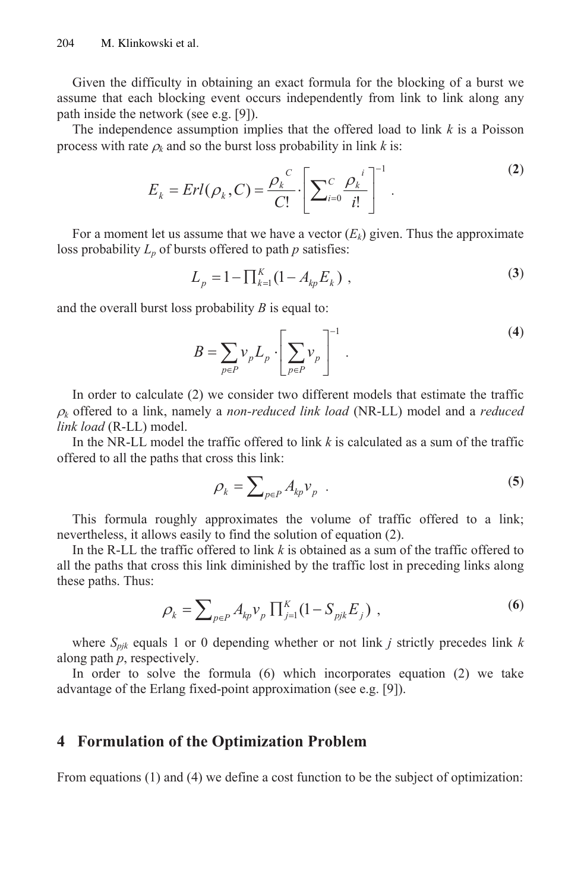Given the difficulty in obtaining an exact formula for the blocking of a burst we assume that each blocking event occurs independently from link to link along any path inside the network (see e.g.  $[9]$ ).

The independence assumption implies that the offered load to link  $k$  is a Poisson process with rate  $\rho_k$  and so the burst loss probability in link k is:

$$
E_{k} = Erl(\rho_{k}, C) = \frac{\rho_{k}^{C}}{C!} \cdot \left[ \sum_{i=0}^{C} \frac{\rho_{k}^{i}}{i!} \right]^{-1}.
$$
 (2)

For a moment let us assume that we have a vector  $(E_k)$  given. Thus the approximate loss probability  $L_p$  of bursts offered to path  $p$  satisfies:

$$
L_p = 1 - \prod_{k=1}^{K} (1 - A_{kp} E_k) , \qquad (3)
$$

and the overall burst loss probability  $B$  is equal to:

$$
B = \sum_{p \in P} \nu_p L_p \cdot \left[ \sum_{p \in P} \nu_p \right]^{-1} . \tag{4}
$$

In order to calculate  $(2)$  we consider two different models that estimate the traffic  $\rho_k$  offered to a link, namely a *non-reduced link load* (NR-LL) model and a *reduced* link load (R-LL) model.

In the NR-LL model the traffic offered to link  $k$  is calculated as a sum of the traffic offered to all the paths that cross this link:

$$
\rho_k = \sum_{p \in P} A_{kp} v_p \quad . \tag{5}
$$

This formula roughly approximates the volume of traffic offered to a link; nevertheless, it allows easily to find the solution of equation (2).

In the R-LL the traffic offered to link  $k$  is obtained as a sum of the traffic offered to all the paths that cross this link diminished by the traffic lost in preceding links along these paths. Thus:

$$
\rho_k = \sum_{p \in P} A_{kp} v_p \prod_{j=1}^K (1 - S_{pjk} E_j) , \qquad (6)
$$

where  $S_{pjk}$  equals 1 or 0 depending whether or not link *j* strictly precedes link *k* along path  $p$ , respectively.

In order to solve the formula  $(6)$  which incorporates equation  $(2)$  we take advantage of the Erlang fixed-point approximation (see e.g.  $[9]$ ).

## 4 Formulation of the Optimization Problem

From equations  $(1)$  and  $(4)$  we define a cost function to be the subject of optimization: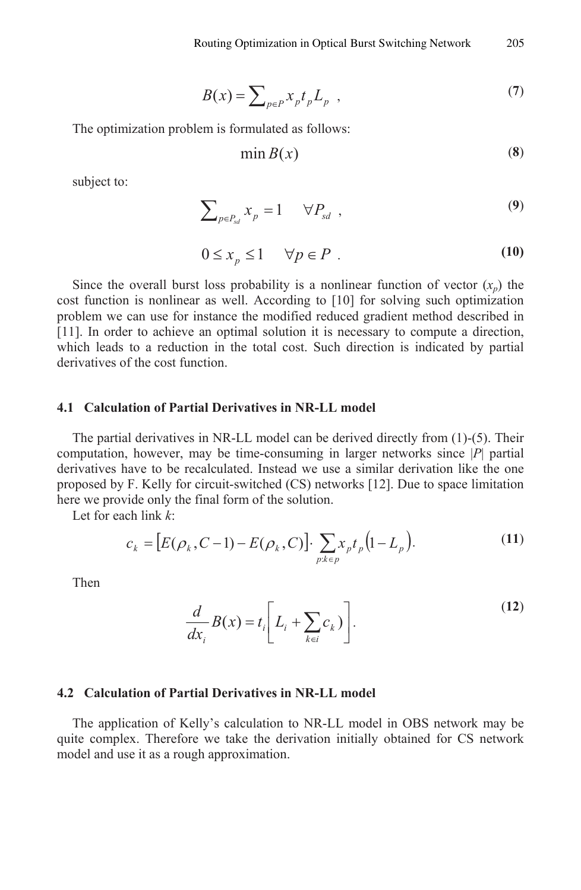$$
B(x) = \sum_{p \in P} x_p t_p L_p \quad , \tag{7}
$$

The optimization problem is formulated as follows:

$$
\min B(x) \tag{8}
$$

subject to:

$$
\sum_{p \in P_{sd}} x_p = 1 \qquad \forall P_{sd} \quad , \tag{9}
$$

$$
0 \le x_p \le 1 \qquad \forall p \in P \tag{10}
$$

Since the overall burst loss probability is a nonlinear function of vector  $(x_p)$  the cost function is nonlinear as well. According to [10] for solving such optimization problem we can use for instance the modified reduced gradient method described in [11]. In order to achieve an optimal solution it is necessary to compute a direction, which leads to a reduction in the total cost. Such direction is indicated by partial derivatives of the cost function.

#### 4.1 Calculation of Partial Derivatives in NR-LL model

The partial derivatives in NR-LL model can be derived directly from  $(1)$ - $(5)$ . Their computation, however, may be time-consuming in larger networks since  $|P|$  partial derivatives have to be recalculated. Instead we use a similar derivation like the one proposed by F. Kelly for circuit-switched (CS) networks [12]. Due to space limitation here we provide only the final form of the solution.

Let for each link  $k$ :

$$
c_k = [E(\rho_k, C-1) - E(\rho_k, C)] \cdot \sum_{p:k \in p} x_p t_p (1 - L_p).
$$
 (11)

Then

$$
\frac{d}{dx_i}B(x) = t_i \left[L_i + \sum_{k \in i} c_k\right].
$$
\n(12)

#### 4.2 Calculation of Partial Derivatives in NR-LL model

The application of Kelly's calculation to NR-LL model in OBS network may be quite complex. Therefore we take the derivation initially obtained for CS network model and use it as a rough approximation.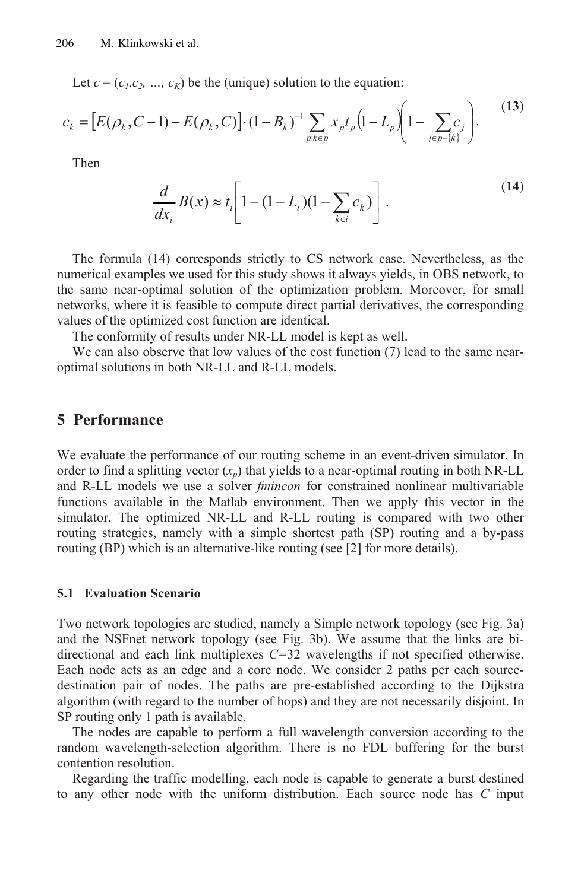Let  $c = (c_1, c_2, ..., c_K)$  be the (unique) solution to the equation:

$$
c_k = [E(\rho_k, C-1) - E(\rho_k, C)] \cdot (1 - B_k)^{-1} \sum_{p:k \in p} x_p t_p \left(1 - L_p \left(1 - \sum_{j \in p - \{k\}} c_j\right)\right). \tag{13}
$$

Then

$$
\frac{d}{dx_i}B(x) \approx t_i \left[1 - (1 - L_i)(1 - \sum_{k \in i} c_k)\right].
$$
\n(14)

The formula (14) corresponds strictly to CS network case. Nevertheless, as the numerical examples we used for this study shows it always yields, in OBS network, to the same near-optimal solution of the optimization problem. Moreover, for small networks, where it is feasible to compute direct partial derivatives, the corresponding values of the optimized cost function are identical.

The conformity of results under NR-LL model is kept as well.

We can also observe that low values of the cost function (7) lead to the same nearoptimal solutions in both NR-LL and R-LL models.

#### 5 Performance

We evaluate the performance of our routing scheme in an event-driven simulator. In order to find a splitting vector  $(x_n)$  that yields to a near-optimal routing in both NR-LL and R-LL models we use a solver *fmincon* for constrained nonlinear multivariable functions available in the Matlab environment. Then we apply this vector in the simulator. The optimized NR-LL and R-LL routing is compared with two other routing strategies, namely with a simple shortest path (SP) routing and a by-pass routing (BP) which is an alternative-like routing (see [2] for more details).

#### **5.1 Evaluation Scenario**

Two network topologies are studied, namely a Simple network topology (see Fig. 3a) and the NSF net network topology (see Fig. 3b). We assume that the links are bidirectional and each link multiplexes  $C=32$  wavelengths if not specified otherwise. Each node acts as an edge and a core node. We consider 2 paths per each sourcedestination pair of nodes. The paths are pre-established according to the Dijkstra algorithm (with regard to the number of hops) and they are not necessarily disjoint. In SP routing only 1 path is available.

The nodes are capable to perform a full wavelength conversion according to the random wavelength-selection algorithm. There is no FDL buffering for the burst contention resolution.

Regarding the traffic modelling, each node is capable to generate a burst destined to any other node with the uniform distribution. Each source node has C input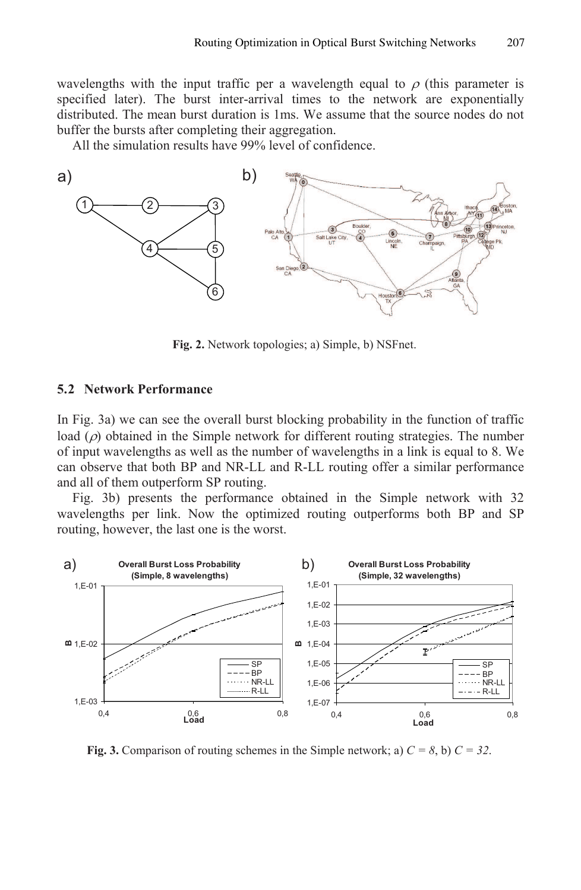wavelengths with the input traffic per a wavelength equal to  $\rho$  (this parameter is specified later). The burst inter-arrival times to the network are exponentially distributed. The mean burst duration is 1ms. We assume that the source nodes do not buffer the bursts after completing their aggregation.

All the simulation results have  $99\%$  level of confidence.



Fig. 2. Network topologies; a) Simple, b) NSFnet.

#### 5.2 Network Performance

In Fig. 3a) we can see the overall burst blocking probability in the function of traffic load  $(\rho)$  obtained in the Simple network for different routing strategies. The number of input wavelengths as well as the number of wavelengths in a link is equal to 8. We can observe that both BP and NR-LL and R-LL routing offer a similar performance and all of them outperform SP routing.

Fig. 3b) presents the performance obtained in the Simple network with 32 wavelengths per link. Now the optimized routing outperforms both BP and SP routing, however, the last one is the worst.



Fig. 3. Comparison of routing schemes in the Simple network; a)  $C = 8$ , b)  $C = 32$ .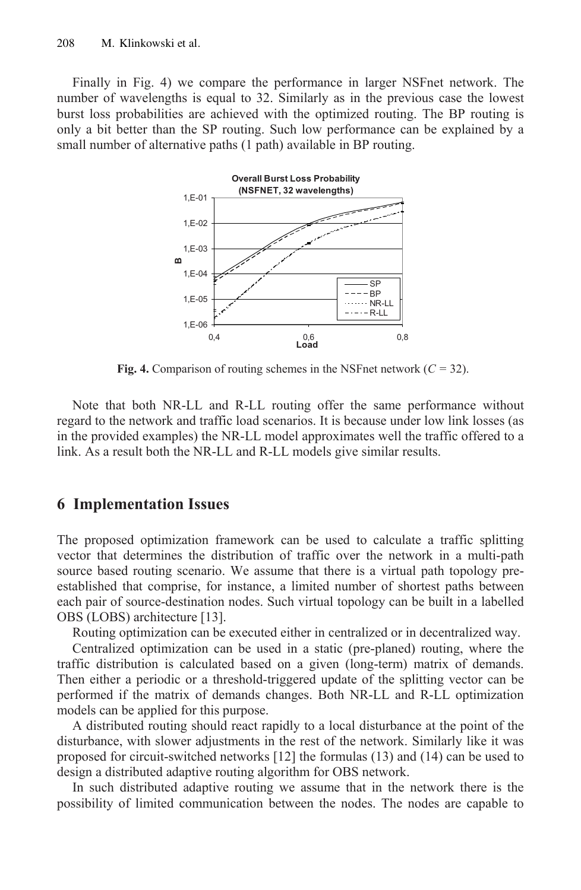Finally in Fig. 4) we compare the performance in larger NSFnet network. The number of wavelengths is equal to 32. Similarly as in the previous case the lowest burst loss probabilities are achieved with the optimized routing. The BP routing is only a bit better than the SP routing. Such low performance can be explained by a small number of alternative paths (1 path) available in BP routing.



Fig. 4. Comparison of routing schemes in the NSFnet network  $(C = 32)$ .

Note that both NR-LL and R-LL routing offer the same performance without regard to the network and traffic load scenarios. It is because under low link losses (as in the provided examples) the NR-LL model approximates well the traffic offered to a link. As a result both the NR-LL and R-LL models give similar results.

## **6 Implementation Issues**

The proposed optimization framework can be used to calculate a traffic splitting vector that determines the distribution of traffic over the network in a multi-path source based routing scenario. We assume that there is a virtual path topology preestablished that comprise, for instance, a limited number of shortest paths between each pair of source-destination nodes. Such virtual topology can be built in a labelled OBS (LOBS) architecture [13].

Routing optimization can be executed either in centralized or in decentralized way.

Centralized optimization can be used in a static (pre-planed) routing, where the traffic distribution is calculated based on a given (long-term) matrix of demands. Then either a periodic or a threshold-triggered update of the splitting vector can be performed if the matrix of demands changes. Both NR-LL and R-LL optimization models can be applied for this purpose.

A distributed routing should react rapidly to a local disturbance at the point of the disturbance, with slower adjustments in the rest of the network. Similarly like it was proposed for circuit-switched networks  $[12]$  the formulas  $(13)$  and  $(14)$  can be used to design a distributed adaptive routing algorithm for OBS network.

In such distributed adaptive routing we assume that in the network there is the possibility of limited communication between the nodes. The nodes are capable to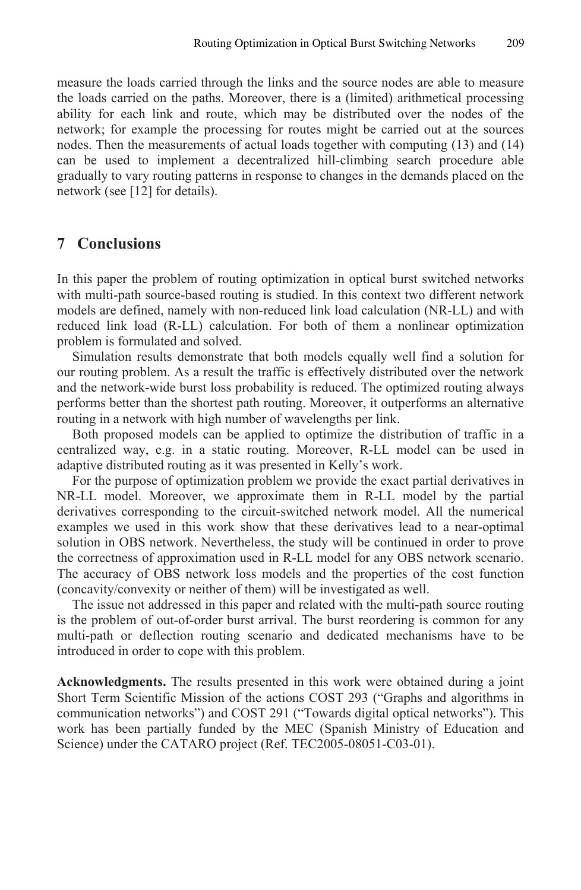measure the loads carried through the links and the source nodes are able to measure the loads carried on the paths. Moreover, there is a (limited) arithmetical processing ability for each link and route, which may be distributed over the nodes of the network; for example the processing for routes might be carried out at the sources nodes. Then the measurements of actual loads together with computing (13) and (14) can be used to implement a decentralized hill-climbing search procedure able gradually to vary routing patterns in response to changes in the demands placed on the network (see [12] for details).

### 7 Conclusions

In this paper the problem of routing optimization in optical burst switched networks with multi-path source-based routing is studied. In this context two different network models are defined, namely with non-reduced link load calculation (NR-LL) and with reduced link load (R-LL) calculation. For both of them a nonlinear optimization problem is formulated and solved.

Simulation results demonstrate that both models equally well find a solution for our routing problem. As a result the traffic is effectively distributed over the network and the network-wide burst loss probability is reduced. The optimized routing always performs better than the shortest path routing. Moreover, it outperforms an alternative routing in a network with high number of wavelengths per link.

Both proposed models can be applied to optimize the distribution of traffic in a centralized way, e.g. in a static routing. Moreover, R-LL model can be used in adaptive distributed routing as it was presented in Kelly's work.

For the purpose of optimization problem we provide the exact partial derivatives in NR-LL model. Moreover, we approximate them in R-LL model by the partial derivatives corresponding to the circuit-switched network model. All the numerical examples we used in this work show that these derivatives lead to a near-optimal solution in OBS network. Nevertheless, the study will be continued in order to prove the correctness of approximation used in R-LL model for any OBS network scenario. The accuracy of OBS network loss models and the properties of the cost function (concavity/convexity or neither of them) will be investigated as well.

The issue not addressed in this paper and related with the multi-path source routing is the problem of out-of-order burst arrival. The burst reordering is common for any multi-path or deflection routing scenario and dedicated mechanisms have to be introduced in order to cope with this problem.

Acknowledgments. The results presented in this work were obtained during a joint Short Term Scientific Mission of the actions COST 293 ("Graphs and algorithms in communication networks") and COST 291 ("Towards digital optical networks"). This work has been partially funded by the MEC (Spanish Ministry of Education and Science) under the CATARO project (Ref. TEC2005-08051-C03-01).